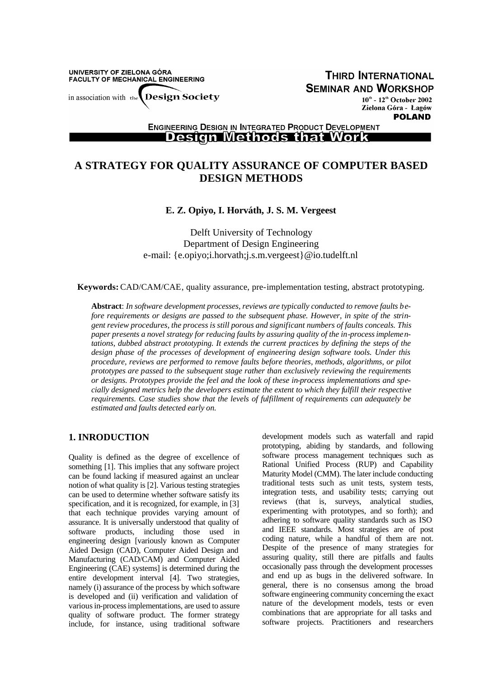UNIVERSITY OF ZIELONA GÓRA FACULTY OF MECHANICAL ENGINEERING

**THIRD INTERNATIONAL SEMINAR AND WORKSHOP** 

**Design Society** in association with the

 $10^{\text{th}}$  -  $12^{\text{th}}$  October 2002 Zielona Góra - Łagów **POLAND** 

**ENGINEERING DESIGN IN INTEGRATED PRODUCT DEVELOPMENT Design Methods that Work** 

# **A STRATEGY FOR QUALITY ASSURANCE OF COMPUTER BASED DESIGN METHODS**

### **E. Z. Opiyo, I. Horváth, J. S. M. Vergeest**

Delft University of Technology Department of Design Engineering e-mail: {e.opiyo;i.horvath;j.s.m.vergeest}@io.tudelft.nl

**Keywords:** CAD/CAM/CAE, quality assurance, pre-implementation testing, abstract prototyping.

**Abstract**: *In software development processes, reviews are typically conducted to remove faults before requirements or designs are passed to the subsequent phase. However, in spite of the stringent review procedures, the process is still porous and significant numbers of faults conceals. This paper presents a novel strategy for reducing faults by assuring quality of the in-process implementations, dubbed abstract prototyping. It extends the current practices by defining the steps of the design phase of the processes of development of engineering design software tools. Under this procedure, reviews are performed to remove faults before theories, methods, algorithms, or pilot prototypes are passed to the subsequent stage rather than exclusively reviewing the requirements or designs. Prototypes provide the feel and the look of these in-process implementations and specially designed metrics help the developers estimate the extent to which they fulfill their respective requirements. Case studies show that the levels of fulfillment of requirements can adequately be estimated and faults detected early on.*

# **1. INRODUCTION**

Quality is defined as the degree of excellence of something [1]. This implies that any software project can be found lacking if measured against an unclear notion of what quality is [2]. Various testing strategies can be used to determine whether software satisfy its specification, and it is recognized, for example, in [3] that each technique provides varying amount of assurance. It is universally understood that quality of software products, including those used in engineering design [variously known as Computer Aided Design (CAD), Computer Aided Design and Manufacturing (CAD/CAM) and Computer Aided Engineering (CAE) systems] is determined during the entire development interval [4]. Two strategies, namely (i) assurance of the process by which software is developed and (ii) verification and validation of various in-process implementations, are used to assure quality of software product. The former strategy include, for instance, using traditional software

development models such as waterfall and rapid prototyping, abiding by standards, and following software process management techniques such as Rational Unified Process (RUP) and Capability Maturity Model (CMM). The later include conducting traditional tests such as unit tests, system tests, integration tests, and usability tests; carrying out reviews (that is, surveys, analytical studies, experimenting with prototypes, and so forth); and adhering to software quality standards such as ISO and IEEE standards. Most strategies are of post coding nature, while a handful of them are not. Despite of the presence of many strategies for assuring quality, still there are pitfalls and faults occasionally pass through the development processes and end up as bugs in the delivered software. In general, there is no consensus among the broad software engineering community concerning the exact nature of the development models, tests or even combinations that are appropriate for all tasks and software projects. Practitioners and researchers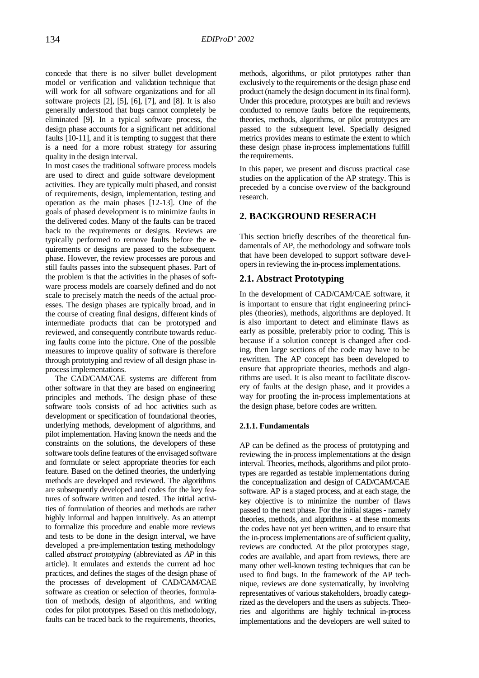concede that there is no silver bullet development model or verification and validation technique that will work for all software organizations and for all software projects  $[2]$ ,  $[5]$ ,  $[6]$ ,  $[7]$ , and  $[8]$ . It is also generally understood that bugs cannot completely be eliminated [9]. In a typical software process, the design phase accounts for a significant net additional faults [10-11], and it is tempting to suggest that there is a need for a more robust strategy for assuring quality in the design interval.

In most cases the traditional software process models are used to direct and guide software development activities. They are typically multi phased, and consist of requirements, design, implementation, testing and operation as the main phases [12-13]. One of the goals of phased development is to minimize faults in the delivered codes. Many of the faults can be traced back to the requirements or designs. Reviews are typically performed to remove faults before the requirements or designs are passed to the subsequent phase. However, the review processes are porous and still faults passes into the subsequent phases. Part of the problem is that the activities in the phases of software process models are coarsely defined and do not scale to precisely match the needs of the actual processes. The design phases are typically broad, and in the course of creating final designs, different kinds of intermediate products that can be prototyped and reviewed, and consequently contribute towards reducing faults come into the picture. One of the possible measures to improve quality of software is therefore through prototyping and review of all design phase inprocess implementations.

The CAD/CAM/CAE systems are different from other software in that they are based on engineering principles and methods. The design phase of these software tools consists of ad hoc activities such as development or specification of foundational theories, underlying methods, development of algorithms, and pilot implementation. Having known the needs and the constraints on the solutions, the developers of these software tools define features of the envisaged software and formulate or select appropriate theories for each feature. Based on the defined theories, the underlying methods are developed and reviewed. The algorithms are subsequently developed and codes for the key features of software written and tested. The initial activities of formulation of theories and methods are rather highly informal and happen intuitively. As an attempt to formalize this procedure and enable more reviews and tests to be done in the design interval, we have developed a pre-implementation testing methodology called *abstract prototyping* (abbreviated as *AP* in this article). It emulates and extends the current ad hoc practices, and defines the stages of the design phase of the processes of development of CAD/CAM/CAE software as creation or selection of theories, formulation of methods, design of algorithms, and writing codes for pilot prototypes. Based on this methodology, faults can be traced back to the requirements, theories,

methods, algorithms, or pilot prototypes rather than exclusively to the requirements or the design phase end product (namely the design document in its final form). Under this procedure, prototypes are built and reviews conducted to remove faults before the requirements, theories, methods, algorithms, or pilot prototypes are passed to the subsequent level. Specially designed metrics provides means to estimate the extent to which these design phase in-process implementations fulfill the requirements.

In this paper, we present and discuss practical case studies on the application of the AP strategy. This is preceded by a concise overview of the background research.

### **2. BACKGROUND RESERACH**

This section briefly describes of the theoretical fundamentals of AP, the methodology and software tools that have been developed to support software developers in reviewing the in-process implementations.

### **2.1. Abstract Prototyping**

In the development of CAD/CAM/CAE software, it is important to ensure that right engineering principles (theories), methods, algorithms are deployed. It is also important to detect and eliminate flaws as early as possible, preferably prior to coding. This is because if a solution concept is changed after coding, then large sections of the code may have to be rewritten. The AP concept has been developed to ensure that appropriate theories, methods and algorithms are used. It is also meant to facilitate discovery of faults at the design phase, and it provides a way for proofing the in-process implementations at the design phase, before codes are written.

#### **2.1.1. Fundamentals**

AP can be defined as the process of prototyping and reviewing the in-process implementations at the design interval. Theories, methods, algorithms and pilot prototypes are regarded as testable implementations during the conceptualization and design of CAD/CAM/CAE software. AP is a staged process, and at each stage, the key objective is to minimize the number of flaws passed to the next phase. For the initial stages - namely theories, methods, and algorithms - at these moments the codes have not yet been written, and to ensure that the in-process implementations are of sufficient quality, reviews are conducted. At the pilot prototypes stage, codes are available, and apart from reviews, there are many other well-known testing techniques that can be used to find bugs. In the framework of the AP technique, reviews are done systematically, by involving representatives of various stakeholders, broadly categorized as the developers and the users as subjects. Theories and algorithms are highly technical in-process implementations and the developers are well suited to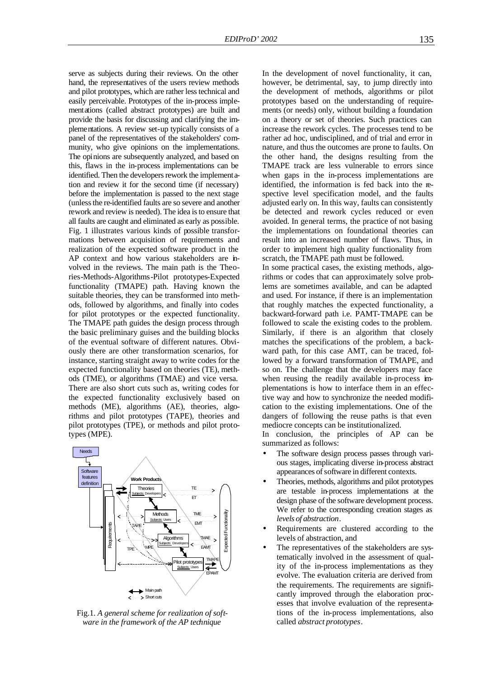serve as subjects during their reviews. On the other hand, the representatives of the users review methods and pilot prototypes, which are rather less technical and easily perceivable. Prototypes of the in-process implementations (called abstract prototypes) are built and provide the basis for discussing and clarifying the implementations. A review set-up typically consists of a panel of the representatives of the stakeholders' community, who give opinions on the implementations. The opinions are subsequently analyzed, and based on this, flaws in the in-process implementations can be identified. Then the developers rework the implementation and review it for the second time (if necessary) before the implementation is passed to the next stage (unless the re-identified faults are so severe and another rework and review is needed). The idea is to ensure that all faults are caught and eliminated as early as possible. Fig. 1 illustrates various kinds of possible transformations between acquisition of requirements and realization of the expected software product in the AP context and how various stakeholders are involved in the reviews. The main path is the Theories-Methods-Algorithms-Pilot prototypes-Expected functionality (TMAPE) path. Having known the suitable theories, they can be transformed into methods, followed by algorithms, and finally into codes for pilot prototypes or the expected functionality. The TMAPE path guides the design process through the basic preliminary guises and the building blocks of the eventual software of different natures. Obviously there are other transformation scenarios, for instance, starting straight away to write codes for the expected functionality based on theories (TE), methods (TME), or algorithms (TMAE) and vice versa. There are also short cuts such as, writing codes for the expected functionality exclusively based on methods (ME), algorithms (AE), theories, algorithms and pilot prototypes (TAPE), theories and pilot prototypes (TPE), or methods and pilot prototypes (MPE).



Fig.1. *A general scheme for realization of software in the framework of the AP technique*

In the development of novel functionality, it can, however, be detrimental, say, to jump directly into the development of methods, algorithms or pilot prototypes based on the understanding of requirements (or needs) only, without building a foundation on a theory or set of theories. Such practices can increase the rework cycles. The processes tend to be rather ad hoc, undisciplined, and of trial and error in nature, and thus the outcomes are prone to faults. On the other hand, the designs resulting from the TMAPE track are less vulnerable to errors since when gaps in the in-process implementations are identified, the information is fed back into the respective level specification model, and the faults adjusted early on. In this way, faults can consistently be detected and rework cycles reduced or even avoided. In general terms, the practice of not basing the implementations on foundational theories can result into an increased number of flaws. Thus, in order to implement high quality functionality from scratch, the TMAPE path must be followed.

In some practical cases, the existing methods, algorithms or codes that can approximately solve problems are sometimes available, and can be adapted and used. For instance, if there is an implementation that roughly matches the expected functionality, a backward-forward path i.e. PAMT-TMAPE can be followed to scale the existing codes to the problem. Similarly, if there is an algorithm that closely matches the specifications of the problem, a backward path, for this case AMT, can be traced, followed by a forward transformation of TMAPE, and so on. The challenge that the developers may face when reusing the readily available in-process implementations is how to interface them in an effective way and how to synchronize the needed modification to the existing implementations. One of the dangers of following the reuse paths is that even mediocre concepts can be institutionalized.

In conclusion, the principles of AP can be summarized as follows:

- The software design process passes through various stages, implicating diverse in-process abstract appearances of software in different contexts.
- Theories, methods, algorithms and pilot prototypes are testable in-process implementations at the design phase of the software development process. We refer to the corresponding creation stages as *levels of abstraction*.
- Requirements are clustered according to the levels of abstraction, and
- The representatives of the stakeholders are systematically involved in the assessment of quality of the in-process implementations as they evolve. The evaluation criteria are derived from the requirements. The requirements are significantly improved through the elaboration processes that involve evaluation of the representations of the in-process implementations, also called *abstract prototypes*.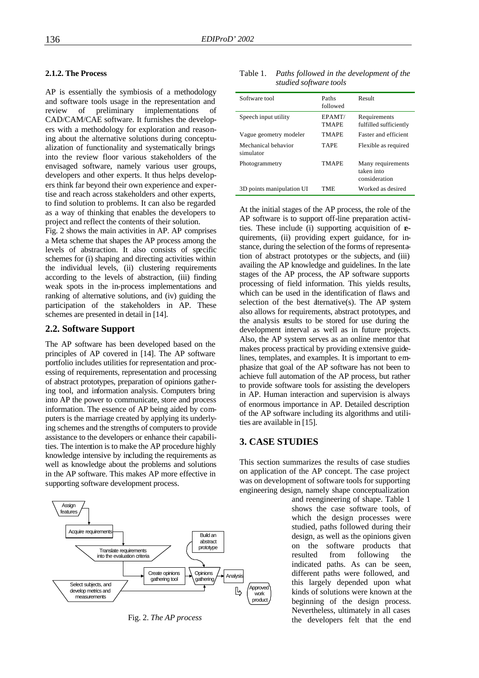#### **2.1.2. The Process**

AP is essentially the symbiosis of a methodology and software tools usage in the representation and review of preliminary implementations of CAD/CAM/CAE software. It furnishes the developers with a methodology for exploration and reasoning about the alternative solutions during conceptualization of functionality and systematically brings into the review floor various stakeholders of the envisaged software, namely various user groups, developers and other experts. It thus helps developers think far beyond their own experience and expertise and reach across stakeholders and other experts, to find solution to problems. It can also be regarded as a way of thinking that enables the developers to project and reflect the contents of their solution.

Fig. 2 shows the main activities in AP. AP comprises a Meta scheme that shapes the AP process among the levels of abstraction. It also consists of specific schemes for (i) shaping and directing activities within the individual levels, (ii) clustering requirements according to the levels of abstraction, (iii) finding weak spots in the in-process implementations and ranking of alternative solutions, and (iv) guiding the participation of the stakeholders in AP. These schemes are presented in detail in [14].

#### **2.2. Software Support**

The AP software has been developed based on the principles of AP covered in [14]. The AP software portfolio includes utilities for representation and processing of requirements, representation and processing of abstract prototypes, preparation of opinions gathering tool, and information analysis. Computers bring into AP the power to communicate, store and process information. The essence of AP being aided by computers is the marriage created by applying its underlying schemes and the strengths of computers to provide assistance to the developers or enhance their capabilities. The intention is to make the AP procedure highly knowledge intensive by including the requirements as well as knowledge about the problems and solutions in the AP software. This makes AP more effective in supporting software development process.



Fig. 2. *The AP process*

| Table 1. | Paths followed in the development of the |
|----------|------------------------------------------|
|          | studied software tools                   |

| Software tool                    | Paths<br>followed      | Result                                           |
|----------------------------------|------------------------|--------------------------------------------------|
| Speech input utility             | EPAMT/<br><b>TMAPE</b> | Requirements<br>fulfilled sufficiently           |
| Vague geometry modeler           | TMAPE                  | <b>Faster and efficient</b>                      |
| Mechanical behavior<br>simulator | <b>TAPE</b>            | Flexible as required                             |
| Photogrammetry                   | TMAPE                  | Many requirements<br>taken into<br>consideration |
| 3D points manipulation UI        | TMF                    | Worked as desired                                |
|                                  |                        |                                                  |

At the initial stages of the AP process, the role of the AP software is to support off-line preparation activities. These include (i) supporting acquisition of  $\mathbf{r}$ quirements, (ii) providing expert guidance, for instance, during the selection of the forms of representation of abstract prototypes or the subjects, and (iii) availing the AP knowledge and guidelines. In the late stages of the AP process, the AP software supports processing of field information. This yields results, which can be used in the identification of flaws and selection of the best dternative(s). The AP system also allows for requirements, abstract prototypes, and the analysis results to be stored for use during the development interval as well as in future projects. Also, the AP system serves as an online mentor that makes process practical by providing extensive guidelines, templates, and examples. It is important to emphasize that goal of the AP software has not been to achieve full automation of the AP process, but rather to provide software tools for assisting the developers in AP. Human interaction and supervision is always of enormous importance in AP. Detailed description of the AP software including its algorithms and utilities are available in [15].

### **3. CASE STUDIES**

This section summarizes the results of case studies on application of the AP concept. The case project was on development of software tools for supporting engineering design, namely shape conceptualization

> and reengineering of shape. Table 1 shows the case software tools, of which the design processes were studied, paths followed during their design, as well as the opinions given on the software products that resulted from following the indicated paths. As can be seen, different paths were followed, and this largely depended upon what kinds of solutions were known at the beginning of the design process. Nevertheless, ultimately in all cases the developers felt that the end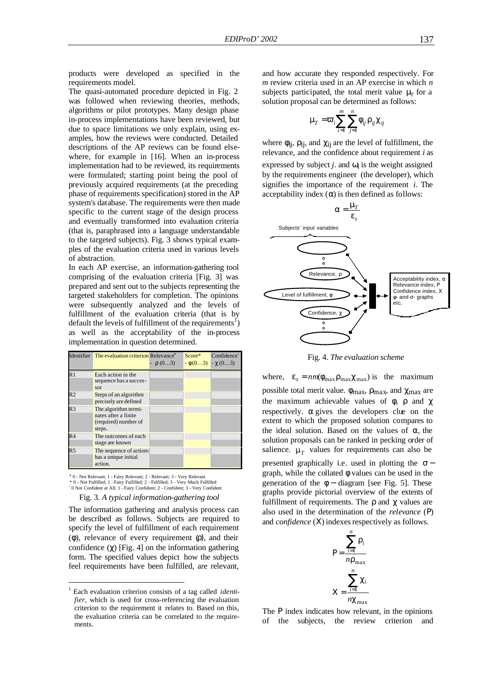products were developed as specified in the requirements model.

The quasi-automated procedure depicted in Fig. 2 was followed when reviewing theories, methods, algorithms or pilot prototypes. Many design phase in-process implementations have been reviewed, but due to space limitations we only explain, using examples, how the reviews were conducted. Detailed descriptions of the AP reviews can be found elsewhere, for example in [16]. When an in-process implementation had to be reviewed, its requirements were formulated; starting point being the pool of previously acquired requirements (at the preceding phase of requirements specification) stored in the AP system's database. The requirements were then made specific to the current stage of the design process and eventually transformed into evaluation criteria (that is, paraphrased into a language understandable to the targeted subjects). Fig. 3 shows typical examples of the evaluation criteria used in various levels of abstraction.

In each AP exercise, an information-gathering tool comprising of the evaluation criteria [Fig. 3] was prepared and sent out to the subjects representing the targeted stakeholders for completion. The opinions were subsequently analyzed and the levels of fulfillment of the evaluation criteria (that is by default the levels of fulfillment of the requirements<sup>1</sup>) as well as the acceptability of the in-process implementation in question determined.

|                 | Identifier The evaluation criterion Relevance <sup>#</sup>                     | $ \rho$ (03) | $Score^*$<br>$-\phi(03) - \chi(03)$ | Confidence <sup>!</sup> |
|-----------------|--------------------------------------------------------------------------------|--------------|-------------------------------------|-------------------------|
| $\overline{R}1$ | Each action in the<br>sequence has a succes-<br>sor                            |              |                                     |                         |
| R <sub>2</sub>  | Steps of an algorithm<br>precisely are defined                                 |              |                                     |                         |
| R <sub>3</sub>  | The algorithm termi-<br>nates after a finite<br>(required) number of<br>steps. |              |                                     |                         |
| R <sub>4</sub>  | The outcomes of each<br>stage are known                                        |              |                                     |                         |
| R <sub>5</sub>  | The sequence of actions<br>has a unique initial<br>action.                     |              |                                     |                         |

# 0 - Not Relevant; 1 - Fairy Relevant; 2 - Relevant; 3 - Very Relevant \* 0 - Not Fulfilled; 1 - Fairy Fulfilled; 2 - Fulfilled; 3 - Very Much Fulfilled ! 0 Not Confident at All; 1 - Fairy Confident; 2 - Confident; 3 - Very Confident

### Fig. 3. *A typical information-gathering tool*

The information gathering and analysis process can be described as follows. Subjects are required to specify the level of fulfillment of each requirement (φ), relevance of every requirement (ρ), and their confidence (*c*) [Fig. 4] on the information gathering form. The specified values depict how the subjects feel requirements have been fulfilled, are relevant,

 $\overline{a}$ 

and how accurate they responded respectively. For *m* review criteria used in an AP exercise in which *n* subjects participated, the total merit value **m**<sub>*T*</sub> for a solution proposal can be determined as follows:

$$
\mathbf{m}_{\Gamma} = \mathbf{V}_{i} \sum_{i=1}^{m} \sum_{j=1}^{n} \mathbf{f}_{ij} \mathbf{r}_{ij} \mathbf{c}_{ij}
$$

where  $\phi_{ij}$ ,  $\rho_{ij}$ , and  $\chi_{ij}$  are the level of fulfillment, the relevance, and the confidence about requirement *i* as expressed by subject *j*. and  $\omega_i$  is the weight assigned by the requirements engineer (the developer), which signifies the importance of the requirement *i*. The acceptability index  $(\alpha)$  is then defined as follows:



Fig. 4. *The evaluation scheme*

where,  $e_s = nm(f_{\text{max}}r_{\text{max}}c_{\text{max}})$  is the maximum possible total merit value.  $\phi_{\text{max}}$ ,  $\rho_{\text{max}}$ , and  $\chi_{\text{max}}$  are the maximum achievable values of  $\phi$ ,  $\rho$  and  $\gamma$ respectively.  $\alpha$  gives the developers clue on the extent to which the proposed solution compares to the ideal solution. Based on the values of *a*, the solution proposals can be ranked in pecking order of salience.  $m<sub>T</sub>$  values for requirements can also be

presented graphically i.e. used in plotting the  $\sigma$  − graph, while the collated φ values can be used in the generation of the  $\phi$  – diagram [see Fig. 5]. These graphs provide pictorial overview of the extents of fulfillment of requirements. The  $\rho$  and  $\chi$  values are also used in the determination of the *relevance* (Ρ) and *confidence* (Χ) indexes respectively as follows.



The P index indicates how relevant, in the opinions of the subjects, the review criterion and

<sup>1</sup> Each evaluation criterion consists of a tag called *identifier*, which is used for cross-referencing the evaluation criterion to the requirement it relates to. Based on this, the evaluation criteria can be correlated to the requirements.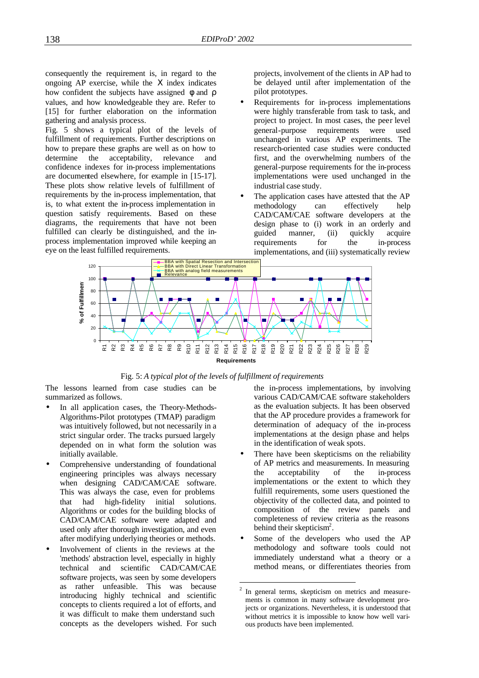consequently the requirement is, in regard to the ongoing AP exercise, while the Χ index indicates how confident the subjects have assigned  $\phi$  and  $\rho$ values, and how knowledgeable they are. Refer to [15] for further elaboration on the information gathering and analysis process.

Fig. 5 shows a typical plot of the levels of fulfillment of requirements. Further descriptions on how to prepare these graphs are well as on how to determine the acceptability, relevance and confidence indexes for in-process implementations are documented elsewhere, for example in [15-17]. These plots show relative levels of fulfillment of requirements by the in-process implementation, that is, to what extent the in-process implementation in question satisfy requirements. Based on these diagrams, the requirements that have not been fulfilled can clearly be distinguished, and the inprocess implementation improved while keeping an eye on the least fulfilled requirements.

projects, involvement of the clients in AP had to be delayed until after implementation of the pilot prototypes.

- Requirements for in-process implementations were highly transferable from task to task, and project to project. In most cases, the peer level general-purpose requirements were used unchanged in various AP experiments. The research-oriented case studies were conducted first, and the overwhelming numbers of the general-purpose requirements for the in-process implementations were used unchanged in the industrial case study.
- The application cases have attested that the AP methodology can effectively help CAD/CAM/CAE software developers at the design phase to (i) work in an orderly and guided manner, (ii) quickly acquire requirements for the in-process implementations, and (iii) systematically review



Fig. 5: *A typical plot of the levels of fulfillment of requirements*

The lessons learned from case studies can be summarized as follows.

- In all application cases, the Theory-Methods-Algorithms-Pilot prototypes (TMAP) paradigm was intuitively followed, but not necessarily in a strict singular order. The tracks pursued largely depended on in what form the solution was initially available.
- Comprehensive understanding of foundational engineering principles was always necessary when designing CAD/CAM/CAE software. This was always the case, even for problems that had high-fidelity initial solutions. Algorithms or codes for the building blocks of CAD/CAM/CAE software were adapted and used only after thorough investigation, and even after modifying underlying theories or methods.
- Involvement of clients in the reviews at the 'methods' abstraction level, especially in highly technical and scientific CAD/CAM/CAE software projects, was seen by some developers as rather unfeasible. This was because introducing highly technical and scientific concepts to clients required a lot of efforts, and it was difficult to make them understand such concepts as the developers wished. For such

the in-process implementations, by involving various CAD/CAM/CAE software stakeholders as the evaluation subjects. It has been observed that the AP procedure provides a framework for determination of adequacy of the in-process implementations at the design phase and helps in the identification of weak spots*.*

- There have been skepticisms on the reliability of AP metrics and measurements. In measuring the acceptability of the in-process implementations or the extent to which they fulfill requirements, some users questioned the objectivity of the collected data, and pointed to composition of the review panels and completeness of review criteria as the reasons behind their skepticism<sup>2</sup>.
- Some of the developers who used the AP methodology and software tools could not immediately understand what a theory or a method means, or differentiates theories from

 $\frac{1}{2}$  In general terms, skepticism on metrics and measurements is common in many software development projects or organizations. Nevertheless, it is understood that without metrics it is impossible to know how well various products have been implemented.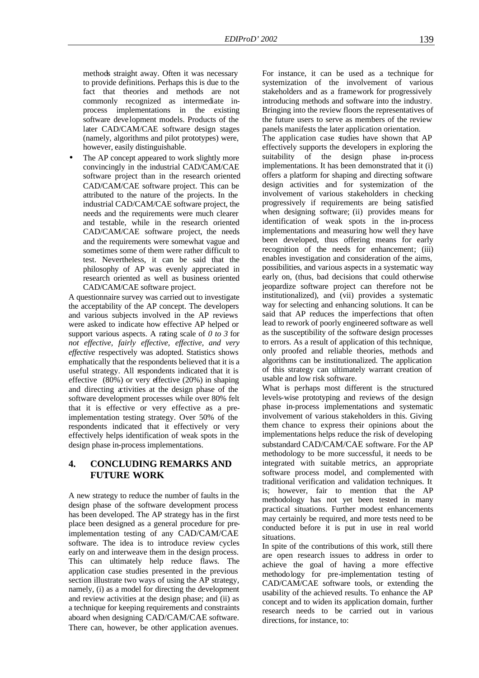methods straight away. Often it was necessary to provide definitions. Perhaps this is due to the fact that theories and methods are not commonly recognized as intermediate inprocess implementations in the existing software development models. Products of the later CAD/CAM/CAE software design stages (namely, algorithms and pilot prototypes) were, however, easily distinguishable.

The AP concept appeared to work slightly more convincingly in the industrial CAD/CAM/CAE software project than in the research oriented CAD/CAM/CAE software project. This can be attributed to the nature of the projects. In the industrial CAD/CAM/CAE software project, the needs and the requirements were much clearer and testable, while in the research oriented CAD/CAM/CAE software project, the needs and the requirements were somewhat vague and sometimes some of them were rather difficult to test. Nevertheless, it can be said that the philosophy of AP was evenly appreciated in research oriented as well as business oriented CAD/CAM/CAE software project.

A questionnaire survey was carried out to investigate the acceptability of the AP concept. The developers and various subjects involved in the AP reviews were asked to indicate how effective AP helped or support various aspects. A rating scale of *0 to 3* for *not effective, fairly effective, effective, and very effective* respectively was adopted. Statistics shows emphatically that the respondents believed that it is a useful strategy. All respondents indicated that it is effective (80%) or very effective (20%) in shaping and directing activities at the design phase of the software development processes while over 80% felt that it is effective or very effective as a preimplementation testing strategy. Over 50% of the respondents indicated that it effectively or very effectively helps identification of weak spots in the design phase in-process implementations.

## **4. CONCLUDING REMARKS AND FUTURE WORK**

A new strategy to reduce the number of faults in the design phase of the software development process has been developed. The AP strategy has in the first place been designed as a general procedure for preimplementation testing of any CAD/CAM/CAE software. The idea is to introduce review cycles early on and interweave them in the design process. This can ultimately help reduce flaws. The application case studies presented in the previous section illustrate two ways of using the AP strategy, namely, (i) as a model for directing the development and review activities at the design phase; and (ii) as a technique for keeping requirements and constraints aboard when designing CAD/CAM/CAE software. There can, however, be other application avenues.

For instance, it can be used as a technique for systemization of the involvement of various stakeholders and as a framework for progressively introducing methods and software into the industry. Bringing into the review floors the representatives of the future users to serve as members of the review panels manifests the later application orientation.

The application case studies have shown that AP effectively supports the developers in exploring the suitability of the design phase in-process implementations. It has been demonstrated that it (i) offers a platform for shaping and directing software design activities and for systemization of the involvement of various stakeholders in checking progressively if requirements are being satisfied when designing software; (ii) provides means for identification of weak spots in the in-process implementations and measuring how well they have been developed, thus offering means for early recognition of the needs for enhancement; (iii) enables investigation and consideration of the aims, possibilities, and various aspects in a systematic way early on, (thus, bad decisions that could otherwise jeopardize software project can therefore not be institutionalized), and (vii) provides a systematic way for selecting and enhancing solutions. It can be said that AP reduces the imperfections that often lead to rework of poorly engineered software as well as the susceptibility of the software design processes to errors. As a result of application of this technique, only proofed and reliable theories, methods and algorithms can be institutionalized. The application of this strategy can ultimately warrant creation of usable and low risk software.

What is perhaps most different is the structured levels-wise prototyping and reviews of the design phase in-process implementations and systematic involvement of various stakeholders in this. Giving them chance to express their opinions about the implementations helps reduce the risk of developing substandard CAD/CAM/CAE software. For the AP methodology to be more successful, it needs to be integrated with suitable metrics, an appropriate software process model, and complemented with traditional verification and validation techniques. It is; however, fair to mention that the AP methodology has not yet been tested in many practical situations. Further modest enhancements may certainly be required, and more tests need to be conducted before it is put in use in real world situations.

In spite of the contributions of this work, still there are open research issues to address in order to achieve the goal of having a more effective methodology for pre-implementation testing of CAD/CAM/CAE software tools, or extending the usability of the achieved results. To enhance the AP concept and to widen its application domain, further research needs to be carried out in various directions, for instance, to: